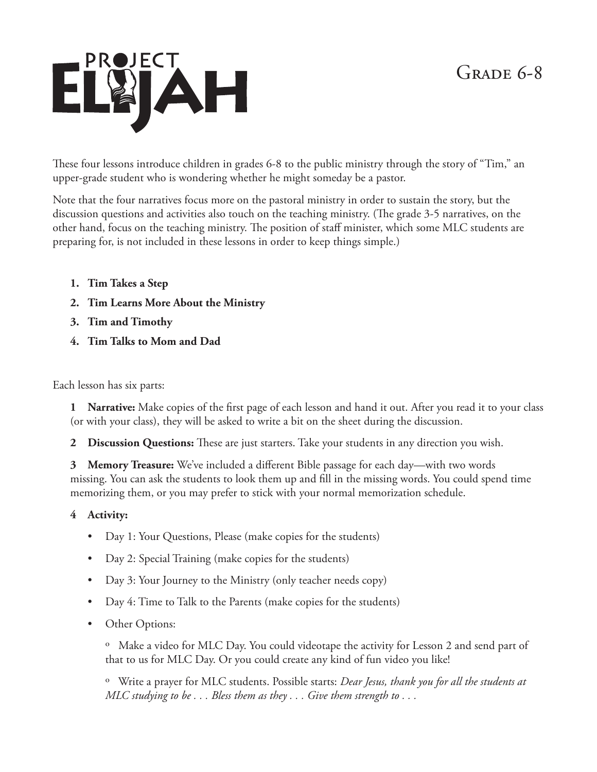## $GRADE 6-8$



These four lessons introduce children in grades 6-8 to the public ministry through the story of "Tim," an upper-grade student who is wondering whether he might someday be a pastor.

Note that the four narratives focus more on the pastoral ministry in order to sustain the story, but the discussion questions and activities also touch on the teaching ministry. (The grade 3-5 narratives, on the other hand, focus on the teaching ministry. The position of staff minister, which some MLC students are preparing for, is not included in these lessons in order to keep things simple.)

- **1. Tim Takes a Step**
- **2. Tim Learns More About the Ministry**
- **3. Tim and Timothy**
- **4. Tim Talks to Mom and Dad**

Each lesson has six parts:

**1 Narrative:** Make copies of the first page of each lesson and hand it out. After you read it to your class (or with your class), they will be asked to write a bit on the sheet during the discussion.

**2 Discussion Questions:** These are just starters. Take your students in any direction you wish.

**3 Memory Treasure:** We've included a different Bible passage for each day—with two words missing. You can ask the students to look them up and fill in the missing words. You could spend time memorizing them, or you may prefer to stick with your normal memorization schedule.

## **4 Activity:**

- Day 1: Your Questions, Please (make copies for the students)
- Day 2: Special Training (make copies for the students)
- Day 3: Your Journey to the Ministry (only teacher needs copy)
- Day 4: Time to Talk to the Parents (make copies for the students)
- Other Options:

º Make a video for MLC Day. You could videotape the activity for Lesson 2 and send part of that to us for MLC Day. Or you could create any kind of fun video you like!

º Write a prayer for MLC students. Possible starts: *Dear Jesus, thank you for all the students at MLC studying to be . . . Bless them as they . . . Give them strength to . . .*